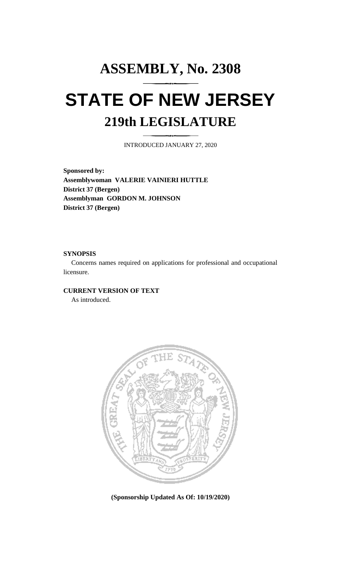## **ASSEMBLY, No. 2308 STATE OF NEW JERSEY 219th LEGISLATURE**

INTRODUCED JANUARY 27, 2020

**Sponsored by: Assemblywoman VALERIE VAINIERI HUTTLE District 37 (Bergen) Assemblyman GORDON M. JOHNSON District 37 (Bergen)**

## **SYNOPSIS**

Concerns names required on applications for professional and occupational licensure.

## **CURRENT VERSION OF TEXT**

As introduced.



**(Sponsorship Updated As Of: 10/19/2020)**